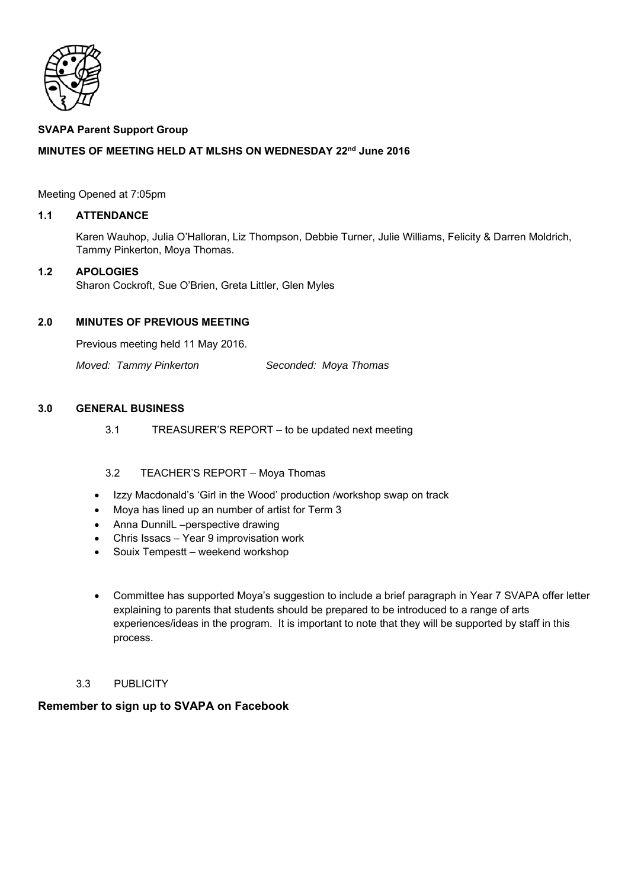

# **SVAPA Parent Support Group**

# **MINUTES OF MEETING HELD AT MLSHS ON WEDNESDAY 22nd June 2016**

Meeting Opened at 7:05pm

# **1.1 ATTENDANCE**

Karen Wauhop, Julia O'Halloran, Liz Thompson, Debbie Turner, Julie Williams, Felicity & Darren Moldrich, Tammy Pinkerton, Moya Thomas.

# **1.2 APOLOGIES**

Sharon Cockroft, Sue O'Brien, Greta Littler, Glen Myles

# **2.0 MINUTES OF PREVIOUS MEETING**

Previous meeting held 11 May 2016.

*Moved: Tammy Pinkerton Seconded: Moya Thomas* 

### **3.0 GENERAL BUSINESS**

3.1 TREASURER'S REPORT – to be updated next meeting

## 3.2 TEACHER'S REPORT – Moya Thomas

- Izzy Macdonald's 'Girl in the Wood' production /workshop swap on track
- Moya has lined up an number of artist for Term 3
- Anna DunnilL –perspective drawing
- Chris Issacs Year 9 improvisation work
- Souix Tempestt weekend workshop
- Committee has supported Moya's suggestion to include a brief paragraph in Year 7 SVAPA offer letter explaining to parents that students should be prepared to be introduced to a range of arts experiences/ideas in the program. It is important to note that they will be supported by staff in this process.
- 3.3 PUBLICITY

## **Remember to sign up to SVAPA on Facebook**